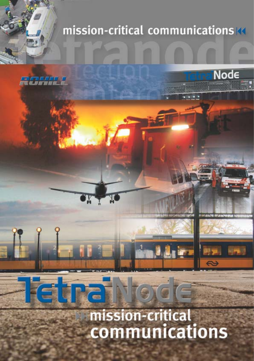### mission-critical communications

**Node** 



## mission-critical<br>COMMUNICations

**COL**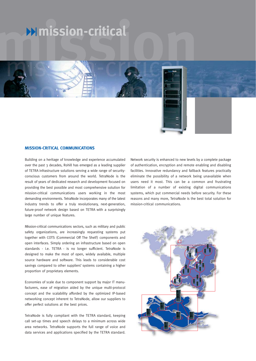# **MINISSION-critical**<br>Allen Strange Classic

### **MISSION-CRITICAL COMMUNICATIONS**

Building on a heritage of knowledge and experience accumulated over the past 3 decades, Rohill has emerged as a leading supplier of TETRA infrastructure solutions serving a wide range of securityconscious customers from around the world. TetraNode is the result of years of dedicated research and development focused on providing the best possible and most comprehensive solution for mission-critical communications users working in the most demanding environments. TetraNode incorporates many of the latest industry trends to offer a truly revolutionary, next-generation, future-proof network design based on TETRA with a surprisingly large number of unique features.

Mission-critical communications sectors, such as military and public safety organizations, are increasingly requesting systems put together with COTS (Commercial Off The Shelf) components and open interfaces. Simply ordering an infrastructure based on open standards - i.e. TETRA - is no longer sufficient. TetraNode is designed to make the most of open, widely available, multiple source hardware and software. This leads to considerable cost savings compared to other suppliers' systems containing a higher proportion of proprietary elements.

Economies of scale due to component support by major IT manufacturers, ease of migration aided by the unique multi-protocol concept and the scalability afforded by the optimized IP-based networking concept inherent to TetraNode, allow our suppliers to offer perfect solutions at the best prices.

TetraNode is fully compliant with the TETRA standard, keeping call set-up times and speech delays to a minimum across wide area networks. TetraNode supports the full range of voice and data services and applications specified by the TETRA standard.

Network security is enhanced to new levels by a complete package of authentication, encryption and remote enabling and disabling facilities. Innovative redundancy and fallback features practically eliminate the possibility of a network being unavailable when users need it most. This can be a common and frustrating limitation of a number of existing digital communications systems, which put commercial needs before security. For these reasons and many more, TetraNode is the best total solution for mission-critical communications.

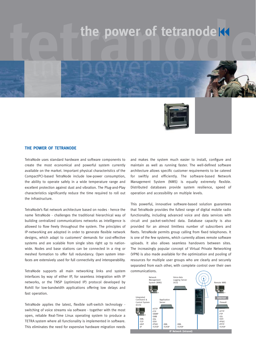# the power of tetranodels



### **THE POWER OF TETRANODE**

TetraNode uses standard hardware and software components to create the most economical and powerful system currently available on the market. Important physical characteristics of the CompactPCI-based TetraNode include low-power consumption, the ability to operate safely in a wide temperature range and excellent protection against dust and vibration. The Plug-and-Play characteristics significantly reduce the time required to roll out the infrastructure.

TetraNode's flat network architecture based on nodes - hence the name TetraNode - challenges the traditional hierarchical way of building centralized communications networks as intelligence is allowed to flow freely throughout the system. The principles of IP-networking are adopted in order to generate flexible network designs, which adapt to customers' demands for cost-effective systems and are scalable from single sites right up to nationwide. Nodes and base stations can be connected in a ring or meshed formation to offer full redundancy. Open system interfaces are extensively used for full connectivity and interoperability.

TetraNode supports all main networking links and system interfaces by way of either IP, for seamless integration with IP networks, or the TNSP (optimized IP) protocol developed by Rohill for low-bandwidth applications offering low delays and fast operation.

TetraNode applies the latest, flexible soft-switch technology switching of voice streams via software - together with the most open, reliable Real-Time Linux operating system to produce a TETRA system where all functionality is implemented in software. This eliminates the need for expensive hardware migration needs and makes the system much easier to install, configure and maintain as well as running faster. The well-defined software architecture allows specific customer requirements to be catered for swiftly and efficiently. The software-based Network Management System (NMS) is equally extremely flexible. Distributed databases provide system resilience, speed of operation and accessibility on multiple levels.

This powerful, innovative software-based solution guarantees that TetraNode provides the fullest range of digital mobile radio functionality, including advanced voice and data services with circuit and packet-switched data. Database capacity is also provided for an almost limitless number of subscribers and fleets. TetraNode permits group calling from fixed telephones. It is one of the few systems, which currently allows remote software uploads. It also allows seamless handovers between sites. The increasingly popular concept of Virtual Private Networking (VPN) is also made available for the optimization and pooling of resources for multiple user groups who are clearly and securely separated from each other, with complete control over their own communications.

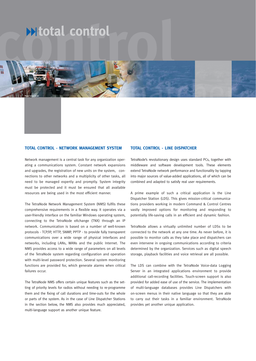### **control**<br>EXPERIMENT **total control**

**Photo by Locus AS**

### **TOTAL CONTROL - NETWORK MANAGEMENT SYSTEM**

Network management is a central task for any organization operating a communications system. Constant network expansions and upgrades, the registration of new units on the system, connections to other networks and a multiplicity of other tasks, all need to be managed expertly and promptly. System integrity must be protected and it must be ensured that all available resources are being used in the most efficient manner.

The TetraNode Network Management System (NMS) fulfils these comprehensive requirements in a flexible way. It operates via a user-friendly interface on the familiar Windows operating system, connecting to the TetraNode eXchange (TNX) through an IP network. Communication is based on a number of well-known protocols - TCP/IP, HTTP, SNMP, PPTP - to provide fully transparent communications over a wide range of physical interfaces and networks, including LANs, WANs and the public Internet. The NMS provides access to a wide range of parameters on all levels of the TetraNode system regarding configuration and operation with multi-level password protection. Several system monitoring functions are provided for, which generate alarms when critical failures occur.

The TetraNode NMS offers certain unique features such as the setting of priority levels for radios without needing to re-programme them and the fixing of call durations and time-outs for the whole or parts of the system. As in the case of Line Dispatcher Stations in the section below, the NMS also provides much appreciated, multi-language support as another unique feature.

### **TOTAL CONTROL - LINE DISPATCHER**

TetraNode's revolutionary design uses standard PCs, together with middleware and software development tools. These elements extend TetraNode network performance and functionality by tapping into major sources of value-added applications, all of which can be combined and adapted to satisfy real user requirements.

A prime example of such a critical application is the Line Dispatcher Station (LDS). This gives mission-critical communications providers working in modern Command & Control Centres vastly improved options for monitoring and responding to potentially life-saving calls in an efficient and dynamic fashion.

TetraNode allows a virtually unlimited number of LDSs to be connected to the network at any one time. As never before, it is possible to monitor calls as they take place and dispatchers can even intervene in ongoing communications according to criteria determined by the organization. Services such as digital speech storage, playback facilities and voice retrieval are all possible.

The LDS can combine with the TetraNode Voice-data Logging Server in an integrated applications environment to provide additional call-recording facilities. Touch-screen support is also provided for added ease of use of the service. The implementation of multi-language databases provides Line Dispatchers with on-screen menus in their native language so that they are able to carry out their tasks in a familiar environment. TetraNode provides yet another unique application.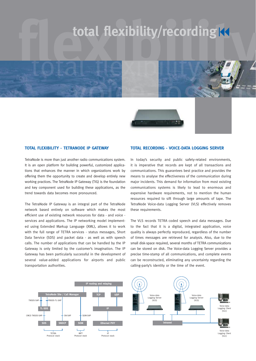### **flexibility total flexibility/recording**-



### **TOTAL FLEXIBILITY - TETRANODE IP GATEWAY**

TetraNode is more than just another radio communications system. It is an open platform for building powerful, customized applications that enhances the manner in which organizations work by offering them the opportunity to create and develop entirely new working practices. The TetraNode IP Gateway (TIG) is the foundation and key component used for building these applications, as the trend towards data becomes more pronounced.

The TetraNode IP Gateway is an integral part of the TetraNode network based entirely on software which makes the most efficient use of existing network resources for data - and voice services and applications. The IP networking model implemented using Extended Markup Language (XML), allows it to work with the full range of TETRA services - status messages, Short Data Service (SDS) and packet data - as well as with speech calls. The number of applications that can be handled by the IP Gateway is only limited by the customer's imagination. The IP Gateway has been particularly successful in the development of several value-added applications for airports and public transportation authorities.

### **TOTAL RECORDING - VOICE-DATA LOGGING SERVER**

In today's security and public safety-related environments, it is imperative that records are kept of all transactions and communications. This guarantees best practice and provides the means to analyse the effectiveness of the communication during major incidents. This demand for information from most existing communications systems is likely to lead to enormous and expensive hardware requirements, not to mention the human resources required to sift through large amounts of tape. The TetraNode Voice-data Logging Server (VLS) effectively removes these requirements.

The VLS records TETRA coded speech and data messages. Due to the fact that it is a digital, integrated application, voice quality is always perfectly reproduced, regardless of the number of times messages are retrieved for analysis. Also, due to the small disk-space required, several months of TETRA communications can be stored on disk. The Voice-data Logging Server provides a precise time-stamp of all communications, and complete events can be reconstructed, eliminating any uncertainty regarding the calling-party's identity or the time of the event.

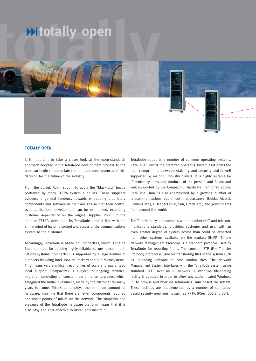### **totally** open **totally open**



It is important to take a closer look at the open-standards approach adopted in the TetraNode development process so the user can begin to appreciate the dramatic consequences of this decision for the future of the industry.

From the outset, Rohill sought to avoid the "black-box" image portrayed by many TETRA system suppliers. These suppliers evidence a general tendency towards embedding proprietary components and software in their designs so that their control over applications development can be maintained, extending customer dependency on the original supplier. Rohill, in the spirit of TETRA, developed its TetraNode product line with the aim in mind of handing control and access of the communications system to the customer.

Accordingly, TetraNode is based on CompactPCI, which is the de facto standard for building highly reliable, secure telecommunications systems. CompactPCI is supported by a large number of suppliers including Intel, Hewlett Packard and Sun Microsystems. This means very significant economies of scale and guaranteed local support. CompactPCI is subject to ongoing technical migration consisting of constant performance upgrades, which safeguard the initial investment, made by the customer for many years to come. TetraNode employs the minimum amount of hardware, meaning that there are fewer components required and fewer points of failure on the network. The simplicity and elegance of the TetraNode hardware platform means that it is also easy and cost-effective to install and maintain.

TetraNode supports a number of common operating systems. Real-Time Linux is the preferred operating system as it offers the best compromise between stability and security and is well supported by major IT industry players. It is highly suitable for IP-centric systems and products of the present and future and well supported by the CompactPCI hardware mentioned above. Real-Time Linux is also championed by a growing number of telecommunications equipment manufacturers (Nokia, Alcatel, Siemens etc.), IT leaders (IBM, Sun, Oracle etc.) and governments from around the world.

The TetraNode system complies with a number of IT and telecommunications standards, providing customer and user with an even greater degree of system access than could be expected from other systems available on the market. SNMP (Simple Network Management Protocol) is a standard protocol used by TetraNode for reporting faults. The common FTP (File Transfer Protocol) protocol is used for transferring files in the system such as uploading software to base station sites. The Network Management System interfaces with the TetraNode system using standard HTTP over an IP network. A Windows file-sharing facility is adopted in order to allow any authenticated Windows PC to browse and work on TetraNode's Linux-based file system. These facilities are supplemented by a number of standardsbased security mechanisms such as PPTP, IPSec, SSL and SSH.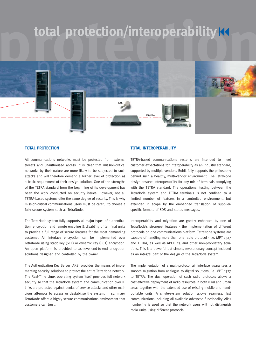### **protection/interoperability KERNA CONTROLLER total protection/interoperability**-

**AKS**



All communications networks must be protected from external threats and unauthorised access. It is clear that mission-critical networks by their nature are more likely to be subjected to such attacks and will therefore demand a higher level of protection as a basic requirement of their design solution. One of the strengths of the TETRA standard from the beginning of its development has been the work conducted on security issues. However, not all TETRA-based systems offer the same degree of security. This is why mission-critical communications users must be careful to choose a fully secure system such as TetraNode.

The TetraNode system fully supports all major types of authentication, encryption and remote enabling & disabling of terminal units to provide a full range of secure features for the most demanding customer. Air interface encryption can be implemented over TetraNode using static key (SCK) or dynamic key (DCK) encryption. An open platform is provided to achieve end-to-end encryption solutions designed and controlled by the owner.

The Authentication Key Server (AKS) provides the means of implementing security solutions to protect the entire TetraNode network. The Real-Time Linux operating system itself provides full network security so that the TetraNode system and communication over IP links are protected against denial-of-service attacks and other malicious attempts to access or destabilise the system. In summary, TetraNode offers a highly secure communications environment that customers can trust.

### **TOTAL INTEROPERABILITY**

**SSL/IPSec**

TETRA-based communications systems are intended to meet customer expectations for interoperability as an industry standard, supported by multiple vendors. Rohill fully supports the philosophy behind such a healthy, multi-vendor environment. The TetraNode design ensures interoperability for any mix of terminals complying with the TETRA standard. The operational testing between the TetraNode system and TETRA terminals is not confined to a limited number of features in a controlled environment, but extended in scope by the embedded translation of supplierspecific formats of SDS and status messages.

Interoperability and migration are greatly enhanced by one of TetraNode's strongest features - the implementation of different protocols on one communications platform. TetraNode systems are capable of handling more than one radio protocol - i.e. MPT 1327 and TETRA, as well as APCO 25 and other non-proprietary solutions. This is a powerful but simple, revolutionary concept included as an integral part of the design of the TetraNode system.

The implementation of a multi-protocol air interface guarantees a smooth migration from analogue to digital solutions, i.e. MPT 1327 to TETRA. The dual operation of such radio protocols allows a cost-effective deployment of radio resources in both rural and urban areas together with the extended use of existing mobile and handportable units. A single-system solution allows seamless, fast communications including all available advanced functionality. Alias numbering is used so that the network users will not distinguish radio units using different protocols.